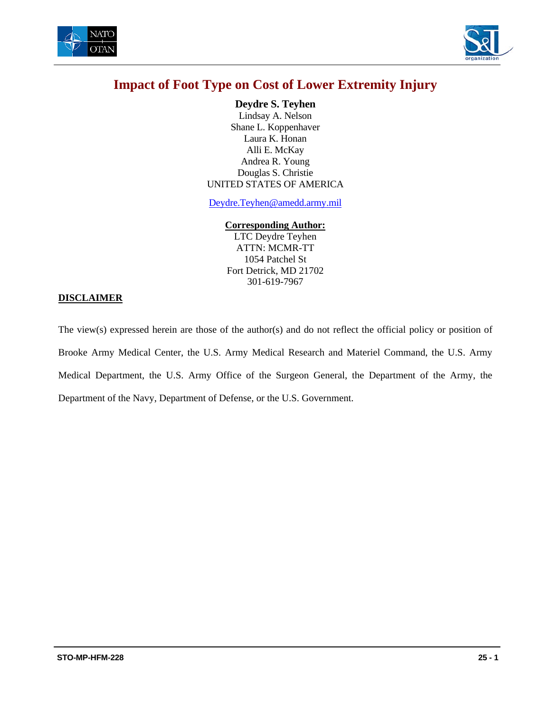



**Deydre S. Teyhen**  Lindsay A. Nelson Shane L. Koppenhaver Laura K. Honan Alli E. McKay Andrea R. Young Douglas S. Christie UNITED STATES OF AMERICA

Deydre.Teyhen@amedd.army.mil

#### **Corresponding Author:**

LTC Deydre Teyhen ATTN: MCMR-TT 1054 Patchel St Fort Detrick, MD 21702 301-619-7967

#### **DISCLAIMER**

The view(s) expressed herein are those of the author(s) and do not reflect the official policy or position of Brooke Army Medical Center, the U.S. Army Medical Research and Materiel Command, the U.S. Army Medical Department, the U.S. Army Office of the Surgeon General, the Department of the Army, the Department of the Navy, Department of Defense, or the U.S. Government.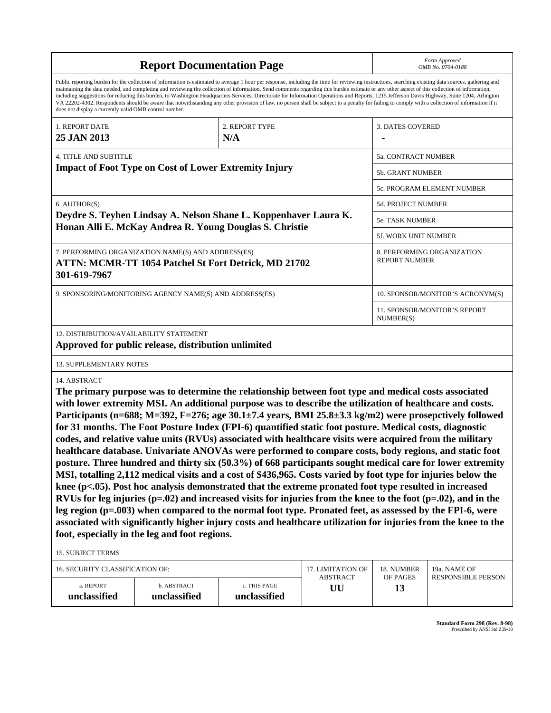| <b>Report Documentation Page</b>                                                                                                                                                                                                                                                                                                                                                                                                                                                                                                                                                                                                                                                                                                                                                                                                                                                                                                                                                                                                                                                                                                                                                                                                                                                                                                                                                                                                                |                                                              |                              |                       | Form Approved<br>OMB No. 0704-0188                 |                            |  |
|-------------------------------------------------------------------------------------------------------------------------------------------------------------------------------------------------------------------------------------------------------------------------------------------------------------------------------------------------------------------------------------------------------------------------------------------------------------------------------------------------------------------------------------------------------------------------------------------------------------------------------------------------------------------------------------------------------------------------------------------------------------------------------------------------------------------------------------------------------------------------------------------------------------------------------------------------------------------------------------------------------------------------------------------------------------------------------------------------------------------------------------------------------------------------------------------------------------------------------------------------------------------------------------------------------------------------------------------------------------------------------------------------------------------------------------------------|--------------------------------------------------------------|------------------------------|-----------------------|----------------------------------------------------|----------------------------|--|
| Public reporting burden for the collection of information is estimated to average 1 hour per response, including the time for reviewing instructions, searching existing data sources, gathering and<br>maintaining the data needed, and completing and reviewing the collection of information. Send comments regarding this burden estimate or any other aspect of this collection of information,<br>including suggestions for reducing this burden, to Washington Headquarters Services, Directorate for Information Operations and Reports, 1215 Jefferson Davis Highway, Suite 1204, Arlington<br>VA 22202-4302. Respondents should be aware that notwithstanding any other provision of law, no person shall be subject to a penalty for failing to comply with a collection of information if it<br>does not display a currently valid OMB control number.                                                                                                                                                                                                                                                                                                                                                                                                                                                                                                                                                                              |                                                              |                              |                       |                                                    |                            |  |
| 1. REPORT DATE<br>25 JAN 2013                                                                                                                                                                                                                                                                                                                                                                                                                                                                                                                                                                                                                                                                                                                                                                                                                                                                                                                                                                                                                                                                                                                                                                                                                                                                                                                                                                                                                   | 2. REPORT TYPE<br>N/A                                        |                              |                       | <b>3. DATES COVERED</b>                            |                            |  |
| <b>4. TITLE AND SUBTITLE</b>                                                                                                                                                                                                                                                                                                                                                                                                                                                                                                                                                                                                                                                                                                                                                                                                                                                                                                                                                                                                                                                                                                                                                                                                                                                                                                                                                                                                                    |                                                              |                              |                       | 5a. CONTRACT NUMBER                                |                            |  |
|                                                                                                                                                                                                                                                                                                                                                                                                                                                                                                                                                                                                                                                                                                                                                                                                                                                                                                                                                                                                                                                                                                                                                                                                                                                                                                                                                                                                                                                 | <b>Impact of Foot Type on Cost of Lower Extremity Injury</b> |                              |                       | <b>5b. GRANT NUMBER</b>                            |                            |  |
|                                                                                                                                                                                                                                                                                                                                                                                                                                                                                                                                                                                                                                                                                                                                                                                                                                                                                                                                                                                                                                                                                                                                                                                                                                                                                                                                                                                                                                                 |                                                              |                              |                       |                                                    | 5c. PROGRAM ELEMENT NUMBER |  |
| 6. AUTHOR(S)                                                                                                                                                                                                                                                                                                                                                                                                                                                                                                                                                                                                                                                                                                                                                                                                                                                                                                                                                                                                                                                                                                                                                                                                                                                                                                                                                                                                                                    |                                                              |                              |                       | 5d. PROJECT NUMBER                                 |                            |  |
| Deydre S. Teyhen Lindsay A. Nelson Shane L. Koppenhaver Laura K.                                                                                                                                                                                                                                                                                                                                                                                                                                                                                                                                                                                                                                                                                                                                                                                                                                                                                                                                                                                                                                                                                                                                                                                                                                                                                                                                                                                |                                                              |                              |                       | 5e. TASK NUMBER                                    |                            |  |
|                                                                                                                                                                                                                                                                                                                                                                                                                                                                                                                                                                                                                                                                                                                                                                                                                                                                                                                                                                                                                                                                                                                                                                                                                                                                                                                                                                                                                                                 | Honan Alli E. McKay Andrea R. Young Douglas S. Christie      |                              |                       | <b>5f. WORK UNIT NUMBER</b>                        |                            |  |
| 7. PERFORMING ORGANIZATION NAME(S) AND ADDRESS(ES)<br><b>ATTN: MCMR-TT 1054 Patchel St Fort Detrick, MD 21702</b><br>301-619-7967                                                                                                                                                                                                                                                                                                                                                                                                                                                                                                                                                                                                                                                                                                                                                                                                                                                                                                                                                                                                                                                                                                                                                                                                                                                                                                               |                                                              |                              |                       | 8. PERFORMING ORGANIZATION<br><b>REPORT NUMBER</b> |                            |  |
| 9. SPONSORING/MONITORING AGENCY NAME(S) AND ADDRESS(ES)                                                                                                                                                                                                                                                                                                                                                                                                                                                                                                                                                                                                                                                                                                                                                                                                                                                                                                                                                                                                                                                                                                                                                                                                                                                                                                                                                                                         |                                                              |                              |                       | 10. SPONSOR/MONITOR'S ACRONYM(S)                   |                            |  |
|                                                                                                                                                                                                                                                                                                                                                                                                                                                                                                                                                                                                                                                                                                                                                                                                                                                                                                                                                                                                                                                                                                                                                                                                                                                                                                                                                                                                                                                 |                                                              |                              |                       | 11. SPONSOR/MONITOR'S REPORT<br>NUMBER(S)          |                            |  |
| 12. DISTRIBUTION/AVAILABILITY STATEMENT                                                                                                                                                                                                                                                                                                                                                                                                                                                                                                                                                                                                                                                                                                                                                                                                                                                                                                                                                                                                                                                                                                                                                                                                                                                                                                                                                                                                         | Approved for public release, distribution unlimited          |                              |                       |                                                    |                            |  |
| <b>13. SUPPLEMENTARY NOTES</b>                                                                                                                                                                                                                                                                                                                                                                                                                                                                                                                                                                                                                                                                                                                                                                                                                                                                                                                                                                                                                                                                                                                                                                                                                                                                                                                                                                                                                  |                                                              |                              |                       |                                                    |                            |  |
| 14. ABSTRACT                                                                                                                                                                                                                                                                                                                                                                                                                                                                                                                                                                                                                                                                                                                                                                                                                                                                                                                                                                                                                                                                                                                                                                                                                                                                                                                                                                                                                                    |                                                              |                              |                       |                                                    |                            |  |
| The primary purpose was to determine the relationship between foot type and medical costs associated<br>with lower extremity MSI. An additional purpose was to describe the utilization of healthcare and costs.<br>Participants (n=688; M=392, F=276; age $30.1\pm7.4$ years, BMI 25.8 $\pm3.3$ kg/m2) were prosepctively followed<br>for 31 months. The Foot Posture Index (FPI-6) quantified static foot posture. Medical costs, diagnostic<br>codes, and relative value units (RVUs) associated with healthcare visits were acquired from the military<br>healthcare database. Univariate ANOVAs were performed to compare costs, body regions, and static foot<br>posture. Three hundred and thirty six (50.3%) of 668 participants sought medical care for lower extremity<br>MSI, totalling 2,112 medical visits and a cost of \$436,965. Costs varied by foot type for injuries below the<br>knee (p<.05). Post hoc analysis demonstrated that the extreme pronated foot type resulted in increased<br>RVUs for leg injuries ( $p=.02$ ) and increased visits for injuries from the knee to the foot ( $p=.02$ ), and in the<br>leg region (p=.003) when compared to the normal foot type. Pronated feet, as assessed by the FPI-6, were<br>associated with significantly higher injury costs and healthcare utilization for injuries from the knee to the<br>foot, especially in the leg and foot regions.<br><b>15. SUBJECT TERMS</b> |                                                              |                              |                       |                                                    |                            |  |
| 16. SECURITY CLASSIFICATION OF:                                                                                                                                                                                                                                                                                                                                                                                                                                                                                                                                                                                                                                                                                                                                                                                                                                                                                                                                                                                                                                                                                                                                                                                                                                                                                                                                                                                                                 |                                                              |                              | 17. LIMITATION OF     | 18. NUMBER                                         | 19a. NAME OF               |  |
| a. REPORT<br>unclassified                                                                                                                                                                                                                                                                                                                                                                                                                                                                                                                                                                                                                                                                                                                                                                                                                                                                                                                                                                                                                                                                                                                                                                                                                                                                                                                                                                                                                       | b. ABSTRACT<br>unclassified                                  | c. THIS PAGE<br>unclassified | <b>ABSTRACT</b><br>UU | OF PAGES<br>13                                     | <b>RESPONSIBLE PERSON</b>  |  |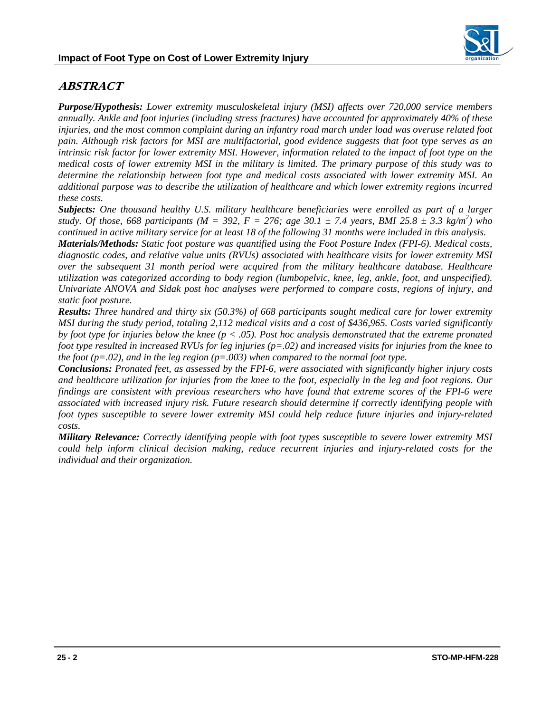

## **ABSTRACT**

*Purpose/Hypothesis: Lower extremity musculoskeletal injury (MSI) affects over 720,000 service members annually. Ankle and foot injuries (including stress fractures) have accounted for approximately 40% of these injuries, and the most common complaint during an infantry road march under load was overuse related foot pain. Although risk factors for MSI are multifactorial, good evidence suggests that foot type serves as an intrinsic risk factor for lower extremity MSI. However, information related to the impact of foot type on the medical costs of lower extremity MSI in the military is limited. The primary purpose of this study was to determine the relationship between foot type and medical costs associated with lower extremity MSI. An additional purpose was to describe the utilization of healthcare and which lower extremity regions incurred these costs.* 

*Subjects: One thousand healthy U.S. military healthcare beneficiaries were enrolled as part of a larger study. Of those, 668 participants (M = 392, F = 276; age 30.1*  $\pm$  *7.4 years, BMI 25.8*  $\pm$  *3.3 kg/m<sup>2</sup>) who continued in active military service for at least 18 of the following 31 months were included in this analysis.* 

*Materials/Methods: Static foot posture was quantified using the Foot Posture Index (FPI-6). Medical costs, diagnostic codes, and relative value units (RVUs) associated with healthcare visits for lower extremity MSI over the subsequent 31 month period were acquired from the military healthcare database. Healthcare utilization was categorized according to body region (lumbopelvic, knee, leg, ankle, foot, and unspecified). Univariate ANOVA and Sidak post hoc analyses were performed to compare costs, regions of injury, and static foot posture.* 

*Results: Three hundred and thirty six (50.3%) of 668 participants sought medical care for lower extremity MSI during the study period, totaling 2,112 medical visits and a cost of \$436,965. Costs varied significantly by foot type for injuries below the knee (p < .05). Post hoc analysis demonstrated that the extreme pronated foot type resulted in increased RVUs for leg injuries (p=.02) and increased visits for injuries from the knee to the foot (p=.02), and in the leg region (p=.003) when compared to the normal foot type.* 

*Conclusions: Pronated feet, as assessed by the FPI-6, were associated with significantly higher injury costs and healthcare utilization for injuries from the knee to the foot, especially in the leg and foot regions. Our findings are consistent with previous researchers who have found that extreme scores of the FPI-6 were associated with increased injury risk. Future research should determine if correctly identifying people with foot types susceptible to severe lower extremity MSI could help reduce future injuries and injury-related costs.* 

*Military Relevance: Correctly identifying people with foot types susceptible to severe lower extremity MSI could help inform clinical decision making, reduce recurrent injuries and injury-related costs for the individual and their organization.*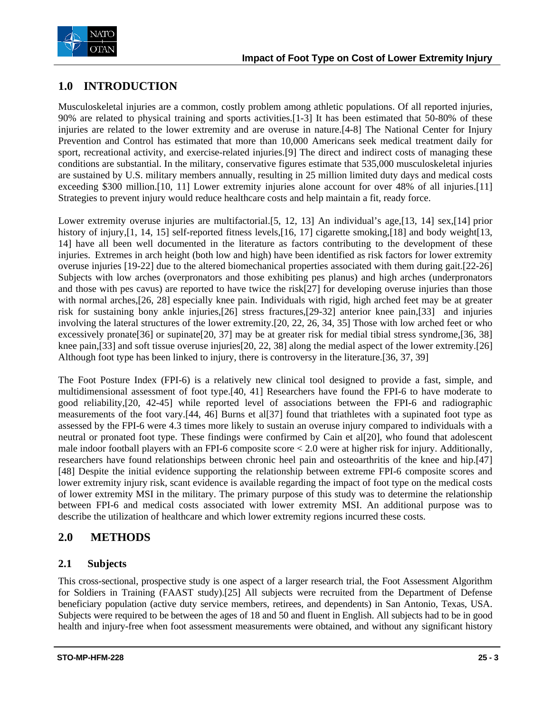

# **1.0 INTRODUCTION**

Musculoskeletal injuries are a common, costly problem among athletic populations. Of all reported injuries, 90% are related to physical training and sports activities.[1-3] It has been estimated that 50-80% of these injuries are related to the lower extremity and are overuse in nature.[4-8] The National Center for Injury Prevention and Control has estimated that more than 10,000 Americans seek medical treatment daily for sport, recreational activity, and exercise-related injuries.[9] The direct and indirect costs of managing these conditions are substantial. In the military, conservative figures estimate that 535,000 musculoskeletal injuries are sustained by U.S. military members annually, resulting in 25 million limited duty days and medical costs exceeding \$300 million.[10, 11] Lower extremity injuries alone account for over 48% of all injuries.[11] Strategies to prevent injury would reduce healthcare costs and help maintain a fit, ready force.

Lower extremity overuse injuries are multifactorial. [5, 12, 13] An individual's age, [13, 14] sex, [14] prior history of injury, [1, 14, 15] self-reported fitness levels, [16, 17] cigarette smoking, [18] and body weight [13, 14] have all been well documented in the literature as factors contributing to the development of these injuries. Extremes in arch height (both low and high) have been identified as risk factors for lower extremity overuse injuries [19-22] due to the altered biomechanical properties associated with them during gait.[22-26] Subjects with low arches (overpronators and those exhibiting pes planus) and high arches (underpronators and those with pes cavus) are reported to have twice the risk[27] for developing overuse injuries than those with normal arches,[26, 28] especially knee pain. Individuals with rigid, high arched feet may be at greater risk for sustaining bony ankle injuries,[26] stress fractures,[29-32] anterior knee pain,[33] and injuries involving the lateral structures of the lower extremity.[20, 22, 26, 34, 35] Those with low arched feet or who excessively pronate[36] or supinate[20, 37] may be at greater risk for medial tibial stress syndrome,[36, 38] knee pain,[33] and soft tissue overuse injuries[20, 22, 38] along the medial aspect of the lower extremity.[26] Although foot type has been linked to injury, there is controversy in the literature.[36, 37, 39]

The Foot Posture Index (FPI-6) is a relatively new clinical tool designed to provide a fast, simple, and multidimensional assessment of foot type.[40, 41] Researchers have found the FPI-6 to have moderate to good reliability,[20, 42-45] while reported level of associations between the FPI-6 and radiographic measurements of the foot vary.[44, 46] Burns et al[37] found that triathletes with a supinated foot type as assessed by the FPI-6 were 4.3 times more likely to sustain an overuse injury compared to individuals with a neutral or pronated foot type. These findings were confirmed by Cain et al[20], who found that adolescent male indoor football players with an FPI-6 composite score  $\lt 2.0$  were at higher risk for injury. Additionally, researchers have found relationships between chronic heel pain and osteoarthritis of the knee and hip.[47] [48] Despite the initial evidence supporting the relationship between extreme FPI-6 composite scores and lower extremity injury risk, scant evidence is available regarding the impact of foot type on the medical costs of lower extremity MSI in the military. The primary purpose of this study was to determine the relationship between FPI-6 and medical costs associated with lower extremity MSI. An additional purpose was to describe the utilization of healthcare and which lower extremity regions incurred these costs.

### **2.0 METHODS**

#### **2.1 Subjects**

This cross-sectional, prospective study is one aspect of a larger research trial, the Foot Assessment Algorithm for Soldiers in Training (FAAST study).[25] All subjects were recruited from the Department of Defense beneficiary population (active duty service members, retirees, and dependents) in San Antonio, Texas, USA. Subjects were required to be between the ages of 18 and 50 and fluent in English. All subjects had to be in good health and injury-free when foot assessment measurements were obtained, and without any significant history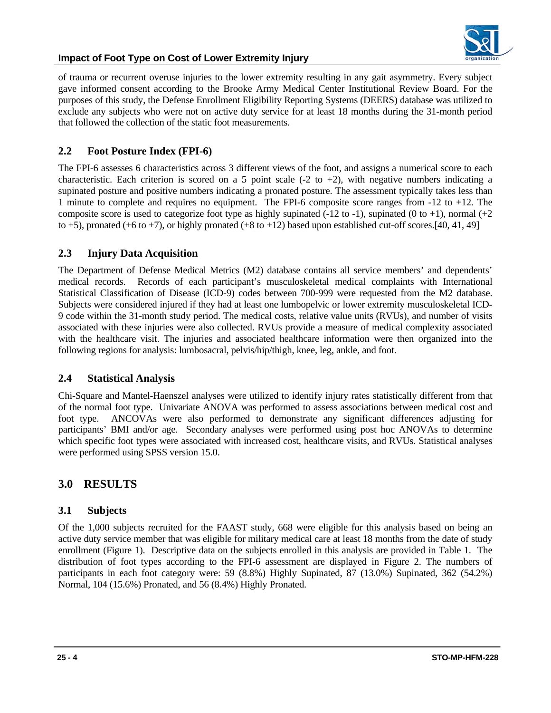

of trauma or recurrent overuse injuries to the lower extremity resulting in any gait asymmetry. Every subject gave informed consent according to the Brooke Army Medical Center Institutional Review Board. For the purposes of this study, the Defense Enrollment Eligibility Reporting Systems (DEERS) database was utilized to exclude any subjects who were not on active duty service for at least 18 months during the 31-month period that followed the collection of the static foot measurements.

#### **2.2 Foot Posture Index (FPI-6)**

The FPI-6 assesses 6 characteristics across 3 different views of the foot, and assigns a numerical score to each characteristic. Each criterion is scored on a 5 point scale  $(-2 \text{ to } +2)$ , with negative numbers indicating a supinated posture and positive numbers indicating a pronated posture. The assessment typically takes less than 1 minute to complete and requires no equipment. The FPI-6 composite score ranges from -12 to +12. The composite score is used to categorize foot type as highly supinated (-12 to -1), supinated (0 to +1), normal (+2 to  $+5$ ), pronated ( $+6$  to  $+7$ ), or highly pronated ( $+8$  to  $+12$ ) based upon established cut-off scores.[40, 41, 49]

#### **2.3 Injury Data Acquisition**

The Department of Defense Medical Metrics (M2) database contains all service members' and dependents' medical records. Records of each participant's musculoskeletal medical complaints with International Statistical Classification of Disease (ICD-9) codes between 700-999 were requested from the M2 database. Subjects were considered injured if they had at least one lumbopelvic or lower extremity musculoskeletal ICD-9 code within the 31-month study period. The medical costs, relative value units (RVUs), and number of visits associated with these injuries were also collected. RVUs provide a measure of medical complexity associated with the healthcare visit. The injuries and associated healthcare information were then organized into the following regions for analysis: lumbosacral, pelvis/hip/thigh, knee, leg, ankle, and foot.

#### **2.4 Statistical Analysis**

Chi-Square and Mantel-Haenszel analyses were utilized to identify injury rates statistically different from that of the normal foot type. Univariate ANOVA was performed to assess associations between medical cost and foot type. ANCOVAs were also performed to demonstrate any significant differences adjusting for participants' BMI and/or age. Secondary analyses were performed using post hoc ANOVAs to determine which specific foot types were associated with increased cost, healthcare visits, and RVUs. Statistical analyses were performed using SPSS version 15.0.

#### **3.0 RESULTS**

#### **3.1 Subjects**

Of the 1,000 subjects recruited for the FAAST study, 668 were eligible for this analysis based on being an active duty service member that was eligible for military medical care at least 18 months from the date of study enrollment (Figure 1). Descriptive data on the subjects enrolled in this analysis are provided in Table 1. The distribution of foot types according to the FPI-6 assessment are displayed in Figure 2. The numbers of participants in each foot category were: 59 (8.8%) Highly Supinated, 87 (13.0%) Supinated, 362 (54.2%) Normal, 104 (15.6%) Pronated, and 56 (8.4%) Highly Pronated.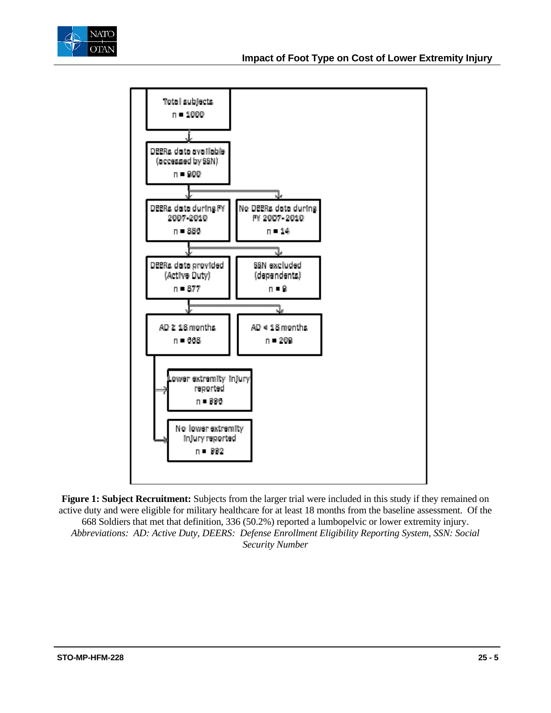



**Figure 1: Subject Recruitment:** Subjects from the larger trial were included in this study if they remained on active duty and were eligible for military healthcare for at least 18 months from the baseline assessment. Of the 668 Soldiers that met that definition, 336 (50.2%) reported a lumbopelvic or lower extremity injury. *Abbreviations: AD: Active Duty, DEERS: Defense Enrollment Eligibility Reporting System, SSN: Social Security Number*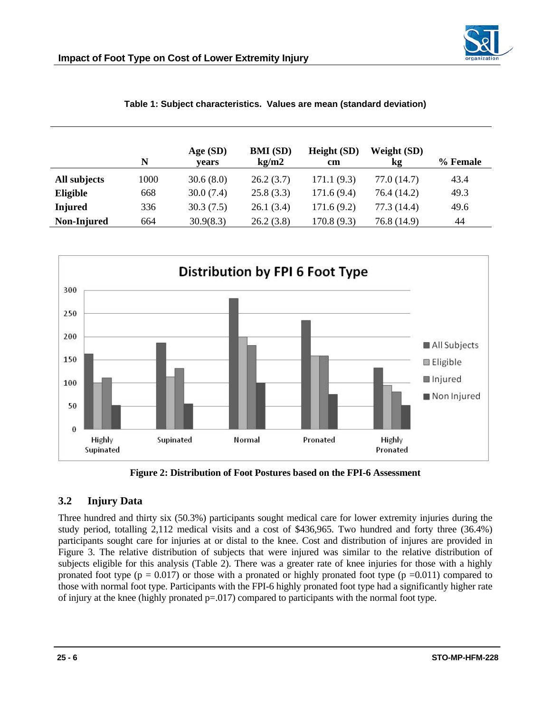

|                | N    | Age(SD)<br>vears | <b>BMI</b> (SD)<br>kg/m2 | Height (SD)<br>$\mathbf{cm}$ | Weight (SD)<br><b>kg</b> | % Female |
|----------------|------|------------------|--------------------------|------------------------------|--------------------------|----------|
| All subjects   | 1000 | 30.6(8.0)        | 26.2(3.7)                | 171.1(9.3)                   | 77.0 (14.7)              | 43.4     |
| Eligible       | 668  | 30.0(7.4)        | 25.8(3.3)                | 171.6(9.4)                   | 76.4 (14.2)              | 49.3     |
| <b>Injured</b> | 336  | 30.3(7.5)        | 26.1(3.4)                | 171.6(9.2)                   | 77.3 (14.4)              | 49.6     |
| Non-Injured    | 664  | 30.9(8.3)        | 26.2(3.8)                | 170.8 (9.3)                  | 76.8 (14.9)              | 44       |

| Table 1: Subject characteristics. Values are mean (standard deviation) |  |  |  |
|------------------------------------------------------------------------|--|--|--|
|------------------------------------------------------------------------|--|--|--|



**Figure 2: Distribution of Foot Postures based on the FPI-6 Assessment** 

### **3.2 Injury Data**

Three hundred and thirty six (50.3%) participants sought medical care for lower extremity injuries during the study period, totalling 2,112 medical visits and a cost of \$436,965. Two hundred and forty three (36.4%) participants sought care for injuries at or distal to the knee. Cost and distribution of injures are provided in Figure 3. The relative distribution of subjects that were injured was similar to the relative distribution of subjects eligible for this analysis (Table 2). There was a greater rate of knee injuries for those with a highly pronated foot type ( $p = 0.017$ ) or those with a pronated or highly pronated foot type ( $p = 0.011$ ) compared to those with normal foot type. Participants with the FPI-6 highly pronated foot type had a significantly higher rate of injury at the knee (highly pronated  $p=0.017$ ) compared to participants with the normal foot type.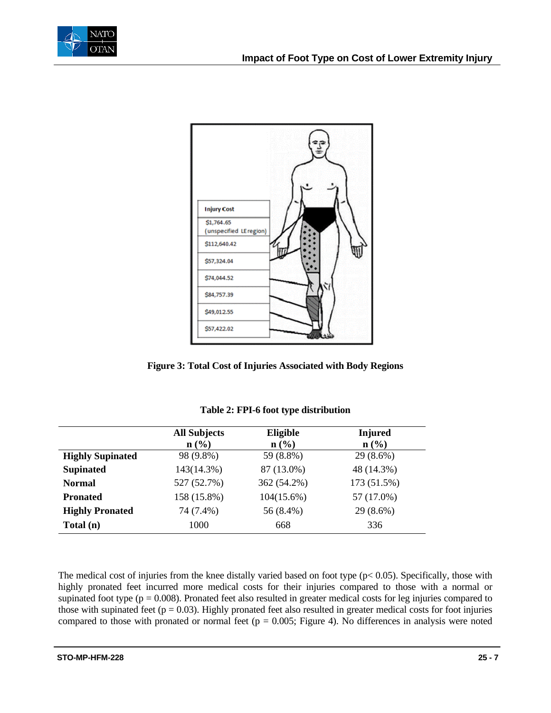



**Figure 3: Total Cost of Injuries Associated with Body Regions** 

|                         | <b>All Subjects</b> | Eligible                    | <b>Injured</b>              |
|-------------------------|---------------------|-----------------------------|-----------------------------|
|                         | n (%)               | $n\left(\frac{0}{0}\right)$ | $n\left(\frac{0}{0}\right)$ |
| <b>Highly Supinated</b> | 98 (9.8%)           | 59 (8.8%)                   | 29 (8.6%)                   |
| <b>Supinated</b>        | 143(14.3%)          | 87 (13.0%)                  | 48 (14.3%)                  |
| <b>Normal</b>           | 527 (52.7%)         | 362 (54.2%)                 | 173 (51.5%)                 |
| <b>Pronated</b>         | 158 (15.8%)         | $104(15.6\%)$               | 57 (17.0%)                  |
| <b>Highly Pronated</b>  | 74 (7.4%)           | 56 (8.4%)                   | 29 (8.6%)                   |
| Total (n)               | 1000                | 668                         | 336                         |

| Table 2: FPI-6 foot type distribution |  |
|---------------------------------------|--|
|---------------------------------------|--|

The medical cost of injuries from the knee distally varied based on foot type  $(p< 0.05)$ . Specifically, those with highly pronated feet incurred more medical costs for their injuries compared to those with a normal or supinated foot type  $(p = 0.008)$ . Pronated feet also resulted in greater medical costs for leg injuries compared to those with supinated feet ( $p = 0.03$ ). Highly pronated feet also resulted in greater medical costs for foot injuries compared to those with pronated or normal feet ( $p = 0.005$ ; Figure 4). No differences in analysis were noted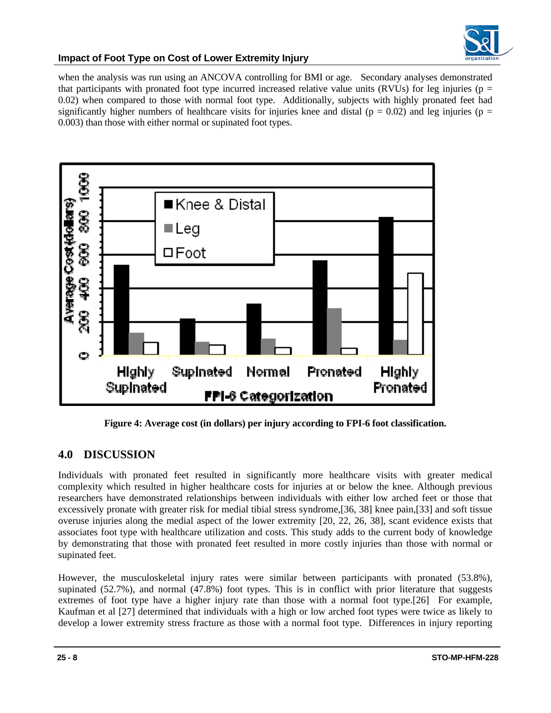

when the analysis was run using an ANCOVA controlling for BMI or age. Secondary analyses demonstrated that participants with pronated foot type incurred increased relative value units (RVUs) for leg injuries ( $p =$ 0.02) when compared to those with normal foot type. Additionally, subjects with highly pronated feet had significantly higher numbers of healthcare visits for injuries knee and distal ( $p = 0.02$ ) and leg injuries ( $p =$ 0.003) than those with either normal or supinated foot types.



**Figure 4: Average cost (in dollars) per injury according to FPI-6 foot classification.** 

# **4.0 DISCUSSION**

Individuals with pronated feet resulted in significantly more healthcare visits with greater medical complexity which resulted in higher healthcare costs for injuries at or below the knee. Although previous researchers have demonstrated relationships between individuals with either low arched feet or those that excessively pronate with greater risk for medial tibial stress syndrome,[36, 38] knee pain,[33] and soft tissue overuse injuries along the medial aspect of the lower extremity [20, 22, 26, 38], scant evidence exists that associates foot type with healthcare utilization and costs. This study adds to the current body of knowledge by demonstrating that those with pronated feet resulted in more costly injuries than those with normal or supinated feet.

However, the musculoskeletal injury rates were similar between participants with pronated (53.8%), supinated (52.7%), and normal (47.8%) foot types. This is in conflict with prior literature that suggests extremes of foot type have a higher injury rate than those with a normal foot type.[26] For example, Kaufman et al [27] determined that individuals with a high or low arched foot types were twice as likely to develop a lower extremity stress fracture as those with a normal foot type. Differences in injury reporting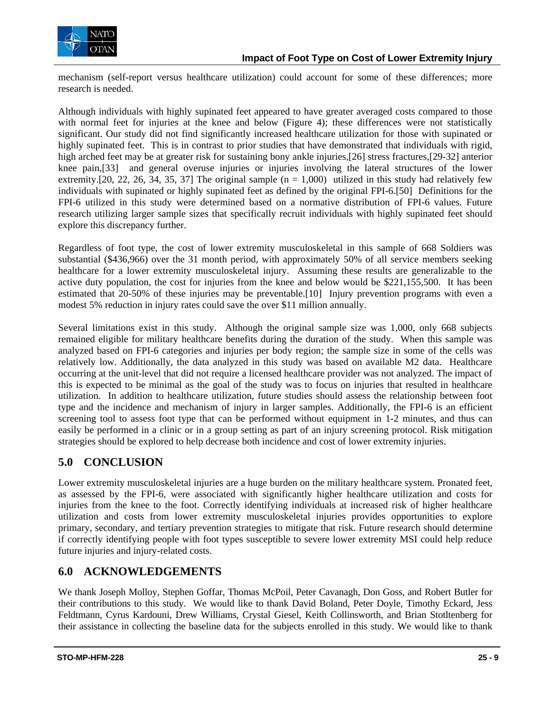

mechanism (self-report versus healthcare utilization) could account for some of these differences; more research is needed.

Although individuals with highly supinated feet appeared to have greater averaged costs compared to those with normal feet for injuries at the knee and below (Figure 4); these differences were not statistically significant. Our study did not find significantly increased healthcare utilization for those with supinated or highly supinated feet. This is in contrast to prior studies that have demonstrated that individuals with rigid, high arched feet may be at greater risk for sustaining bony ankle injuries,[26] stress fractures,[29-32] anterior knee pain,[33] and general overuse injuries or injuries involving the lateral structures of the lower extremity. [20, 22, 26, 34, 35, 37] The original sample  $(n = 1,000)$  utilized in this study had relatively few individuals with supinated or highly supinated feet as defined by the original FPI-6.[50] Definitions for the FPI-6 utilized in this study were determined based on a normative distribution of FPI-6 values. Future research utilizing larger sample sizes that specifically recruit individuals with highly supinated feet should explore this discrepancy further.

Regardless of foot type, the cost of lower extremity musculoskeletal in this sample of 668 Soldiers was substantial (\$436,966) over the 31 month period, with approximately 50% of all service members seeking healthcare for a lower extremity musculoskeletal injury. Assuming these results are generalizable to the active duty population, the cost for injuries from the knee and below would be \$221,155,500. It has been estimated that 20-50% of these injuries may be preventable.[10] Injury prevention programs with even a modest 5% reduction in injury rates could save the over \$11 million annually.

Several limitations exist in this study. Although the original sample size was 1,000, only 668 subjects remained eligible for military healthcare benefits during the duration of the study. When this sample was analyzed based on FPI-6 categories and injuries per body region; the sample size in some of the cells was relatively low. Additionally, the data analyzed in this study was based on available M2 data. Healthcare occurring at the unit-level that did not require a licensed healthcare provider was not analyzed. The impact of this is expected to be minimal as the goal of the study was to focus on injuries that resulted in healthcare utilization. In addition to healthcare utilization, future studies should assess the relationship between foot type and the incidence and mechanism of injury in larger samples. Additionally, the FPI-6 is an efficient screening tool to assess foot type that can be performed without equipment in 1-2 minutes, and thus can easily be performed in a clinic or in a group setting as part of an injury screening protocol. Risk mitigation strategies should be explored to help decrease both incidence and cost of lower extremity injuries.

# **5.0 CONCLUSION**

Lower extremity musculoskeletal injuries are a huge burden on the military healthcare system. Pronated feet, as assessed by the FPI-6, were associated with significantly higher healthcare utilization and costs for injuries from the knee to the foot. Correctly identifying individuals at increased risk of higher healthcare utilization and costs from lower extremity musculoskeletal injuries provides opportunities to explore primary, secondary, and tertiary prevention strategies to mitigate that risk. Future research should determine if correctly identifying people with foot types susceptible to severe lower extremity MSI could help reduce future injuries and injury-related costs.

### **6.0 ACKNOWLEDGEMENTS**

We thank Joseph Molloy, Stephen Goffar, Thomas McPoil, Peter Cavanagh, Don Goss, and Robert Butler for their contributions to this study. We would like to thank David Boland, Peter Doyle, Timothy Eckard, Jess Feldtmann, Cyrus Kardouni, Drew Williams, Crystal Giesel, Keith Collinsworth, and Brian Stotltenberg for their assistance in collecting the baseline data for the subjects enrolled in this study. We would like to thank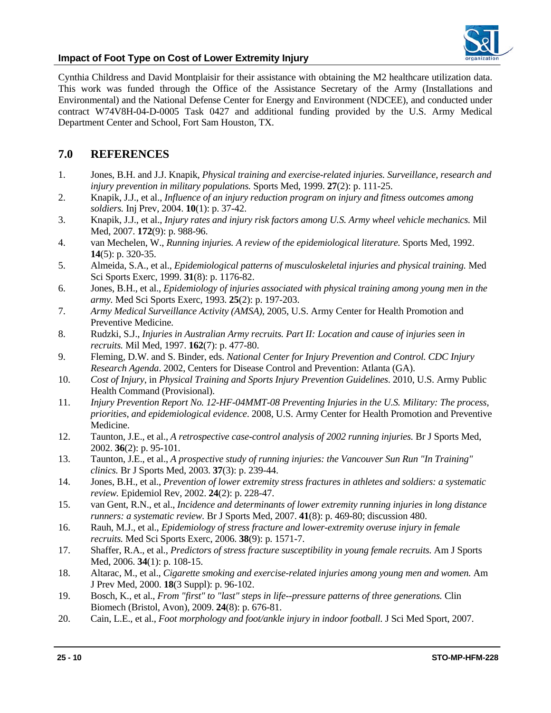

Cynthia Childress and David Montplaisir for their assistance with obtaining the M2 healthcare utilization data. This work was funded through the Office of the Assistance Secretary of the Army (Installations and Environmental) and the National Defense Center for Energy and Environment (NDCEE), and conducted under contract W74V8H-04-D-0005 Task 0427 and additional funding provided by the U.S. Army Medical Department Center and School, Fort Sam Houston, TX.

### **7.0 REFERENCES**

- 1. Jones, B.H. and J.J. Knapik, *Physical training and exercise-related injuries. Surveillance, research and injury prevention in military populations.* Sports Med, 1999. **27**(2): p. 111-25.
- 2. Knapik, J.J., et al., *Influence of an injury reduction program on injury and fitness outcomes among soldiers.* Inj Prev, 2004. **10**(1): p. 37-42.
- 3. Knapik, J.J., et al., *Injury rates and injury risk factors among U.S. Army wheel vehicle mechanics.* Mil Med, 2007. **172**(9): p. 988-96.
- 4. van Mechelen, W., *Running injuries. A review of the epidemiological literature.* Sports Med, 1992. **14**(5): p. 320-35.
- 5. Almeida, S.A., et al., *Epidemiological patterns of musculoskeletal injuries and physical training.* Med Sci Sports Exerc, 1999. **31**(8): p. 1176-82.
- 6. Jones, B.H., et al., *Epidemiology of injuries associated with physical training among young men in the army.* Med Sci Sports Exerc, 1993. **25**(2): p. 197-203.
- 7. *Army Medical Surveillance Activity (AMSA)*, 2005, U.S. Army Center for Health Promotion and Preventive Medicine.
- 8. Rudzki, S.J., *Injuries in Australian Army recruits. Part II: Location and cause of injuries seen in recruits.* Mil Med, 1997. **162**(7): p. 477-80.
- 9. Fleming, D.W. and S. Binder, eds. *National Center for Injury Prevention and Control. CDC Injury Research Agenda*. 2002, Centers for Disease Control and Prevention: Atlanta (GA).
- 10. *Cost of Injury*, in *Physical Training and Sports Injury Prevention Guidelines*. 2010, U.S. Army Public Health Command (Provisional).
- 11. *Injury Prevention Report No. 12-HF-04MMT-08 Preventing Injuries in the U.S. Military: The process, priorities, and epidemiological evidence*. 2008, U.S. Army Center for Health Promotion and Preventive Medicine.
- 12. Taunton, J.E., et al., *A retrospective case-control analysis of 2002 running injuries.* Br J Sports Med, 2002. **36**(2): p. 95-101.
- 13. Taunton, J.E., et al., *A prospective study of running injuries: the Vancouver Sun Run "In Training" clinics.* Br J Sports Med, 2003. **37**(3): p. 239-44.
- 14. Jones, B.H., et al., *Prevention of lower extremity stress fractures in athletes and soldiers: a systematic review.* Epidemiol Rev, 2002. **24**(2): p. 228-47.
- 15. van Gent, R.N., et al., *Incidence and determinants of lower extremity running injuries in long distance runners: a systematic review.* Br J Sports Med, 2007. **41**(8): p. 469-80; discussion 480.
- 16. Rauh, M.J., et al., *Epidemiology of stress fracture and lower-extremity overuse injury in female recruits.* Med Sci Sports Exerc, 2006. **38**(9): p. 1571-7.
- 17. Shaffer, R.A., et al., *Predictors of stress fracture susceptibility in young female recruits.* Am J Sports Med, 2006. **34**(1): p. 108-15.
- 18. Altarac, M., et al., *Cigarette smoking and exercise-related injuries among young men and women.* Am J Prev Med, 2000. **18**(3 Suppl): p. 96-102.
- 19. Bosch, K., et al., *From "first" to "last" steps in life--pressure patterns of three generations.* Clin Biomech (Bristol, Avon), 2009. **24**(8): p. 676-81.
- 20. Cain, L.E., et al., *Foot morphology and foot/ankle injury in indoor football.* J Sci Med Sport, 2007.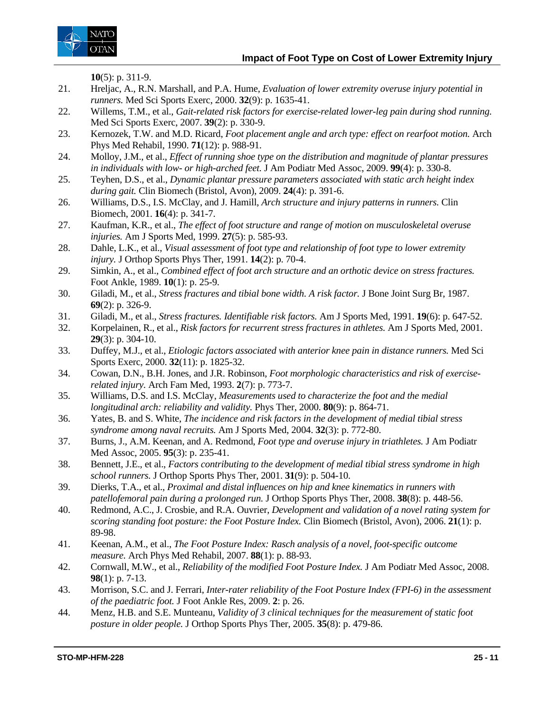

**10**(5): p. 311-9.

- 21. Hreljac, A., R.N. Marshall, and P.A. Hume, *Evaluation of lower extremity overuse injury potential in runners.* Med Sci Sports Exerc, 2000. **32**(9): p. 1635-41.
- 22. Willems, T.M., et al., *Gait-related risk factors for exercise-related lower-leg pain during shod running.* Med Sci Sports Exerc, 2007. **39**(2): p. 330-9.
- 23. Kernozek, T.W. and M.D. Ricard, *Foot placement angle and arch type: effect on rearfoot motion.* Arch Phys Med Rehabil, 1990. **71**(12): p. 988-91.
- 24. Molloy, J.M., et al., *Effect of running shoe type on the distribution and magnitude of plantar pressures in individuals with low- or high-arched feet.* J Am Podiatr Med Assoc, 2009. **99**(4): p. 330-8.
- 25. Teyhen, D.S., et al., *Dynamic plantar pressure parameters associated with static arch height index during gait.* Clin Biomech (Bristol, Avon), 2009. **24**(4): p. 391-6.
- 26. Williams, D.S., I.S. McClay, and J. Hamill, *Arch structure and injury patterns in runners.* Clin Biomech, 2001. **16**(4): p. 341-7.
- 27. Kaufman, K.R., et al., *The effect of foot structure and range of motion on musculoskeletal overuse injuries.* Am J Sports Med, 1999. **27**(5): p. 585-93.
- 28. Dahle, L.K., et al., *Visual assessment of foot type and relationship of foot type to lower extremity injury.* J Orthop Sports Phys Ther, 1991. **14**(2): p. 70-4.
- 29. Simkin, A., et al., *Combined effect of foot arch structure and an orthotic device on stress fractures.* Foot Ankle, 1989. **10**(1): p. 25-9.
- 30. Giladi, M., et al., *Stress fractures and tibial bone width. A risk factor.* J Bone Joint Surg Br, 1987. **69**(2): p. 326-9.
- 31. Giladi, M., et al., *Stress fractures. Identifiable risk factors.* Am J Sports Med, 1991. **19**(6): p. 647-52.
- 32. Korpelainen, R., et al., *Risk factors for recurrent stress fractures in athletes.* Am J Sports Med, 2001. **29**(3): p. 304-10.
- 33. Duffey, M.J., et al., *Etiologic factors associated with anterior knee pain in distance runners.* Med Sci Sports Exerc, 2000. **32**(11): p. 1825-32.
- 34. Cowan, D.N., B.H. Jones, and J.R. Robinson, *Foot morphologic characteristics and risk of exerciserelated injury.* Arch Fam Med, 1993. **2**(7): p. 773-7.
- 35. Williams, D.S. and I.S. McClay, *Measurements used to characterize the foot and the medial longitudinal arch: reliability and validity.* Phys Ther, 2000. **80**(9): p. 864-71.
- 36. Yates, B. and S. White, *The incidence and risk factors in the development of medial tibial stress syndrome among naval recruits.* Am J Sports Med, 2004. **32**(3): p. 772-80.
- 37. Burns, J., A.M. Keenan, and A. Redmond, *Foot type and overuse injury in triathletes.* J Am Podiatr Med Assoc, 2005. **95**(3): p. 235-41.
- 38. Bennett, J.E., et al., *Factors contributing to the development of medial tibial stress syndrome in high school runners.* J Orthop Sports Phys Ther, 2001. **31**(9): p. 504-10.
- 39. Dierks, T.A., et al., *Proximal and distal influences on hip and knee kinematics in runners with patellofemoral pain during a prolonged run.* J Orthop Sports Phys Ther, 2008. **38**(8): p. 448-56.
- 40. Redmond, A.C., J. Crosbie, and R.A. Ouvrier, *Development and validation of a novel rating system for scoring standing foot posture: the Foot Posture Index.* Clin Biomech (Bristol, Avon), 2006. **21**(1): p. 89-98.
- 41. Keenan, A.M., et al., *The Foot Posture Index: Rasch analysis of a novel, foot-specific outcome measure.* Arch Phys Med Rehabil, 2007. **88**(1): p. 88-93.
- 42. Cornwall, M.W., et al., *Reliability of the modified Foot Posture Index.* J Am Podiatr Med Assoc, 2008. **98**(1): p. 7-13.
- 43. Morrison, S.C. and J. Ferrari, *Inter-rater reliability of the Foot Posture Index (FPI-6) in the assessment of the paediatric foot.* J Foot Ankle Res, 2009. **2**: p. 26.
- 44. Menz, H.B. and S.E. Munteanu, *Validity of 3 clinical techniques for the measurement of static foot posture in older people.* J Orthop Sports Phys Ther, 2005. **35**(8): p. 479-86.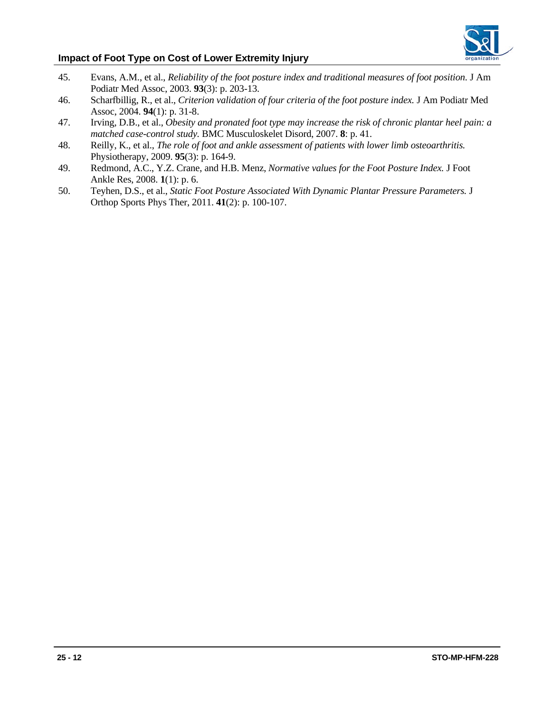

- 45. Evans, A.M., et al., *Reliability of the foot posture index and traditional measures of foot position.* J Am Podiatr Med Assoc, 2003. **93**(3): p. 203-13.
- 46. Scharfbillig, R., et al., *Criterion validation of four criteria of the foot posture index.* J Am Podiatr Med Assoc, 2004. **94**(1): p. 31-8.
- 47. Irving, D.B., et al., *Obesity and pronated foot type may increase the risk of chronic plantar heel pain: a matched case-control study.* BMC Musculoskelet Disord, 2007. **8**: p. 41.
- 48. Reilly, K., et al., *The role of foot and ankle assessment of patients with lower limb osteoarthritis.* Physiotherapy, 2009. **95**(3): p. 164-9.
- 49. Redmond, A.C., Y.Z. Crane, and H.B. Menz, *Normative values for the Foot Posture Index.* J Foot Ankle Res, 2008. **1**(1): p. 6.
- 50. Teyhen, D.S., et al., *Static Foot Posture Associated With Dynamic Plantar Pressure Parameters.* J Orthop Sports Phys Ther, 2011. **41**(2): p. 100-107.